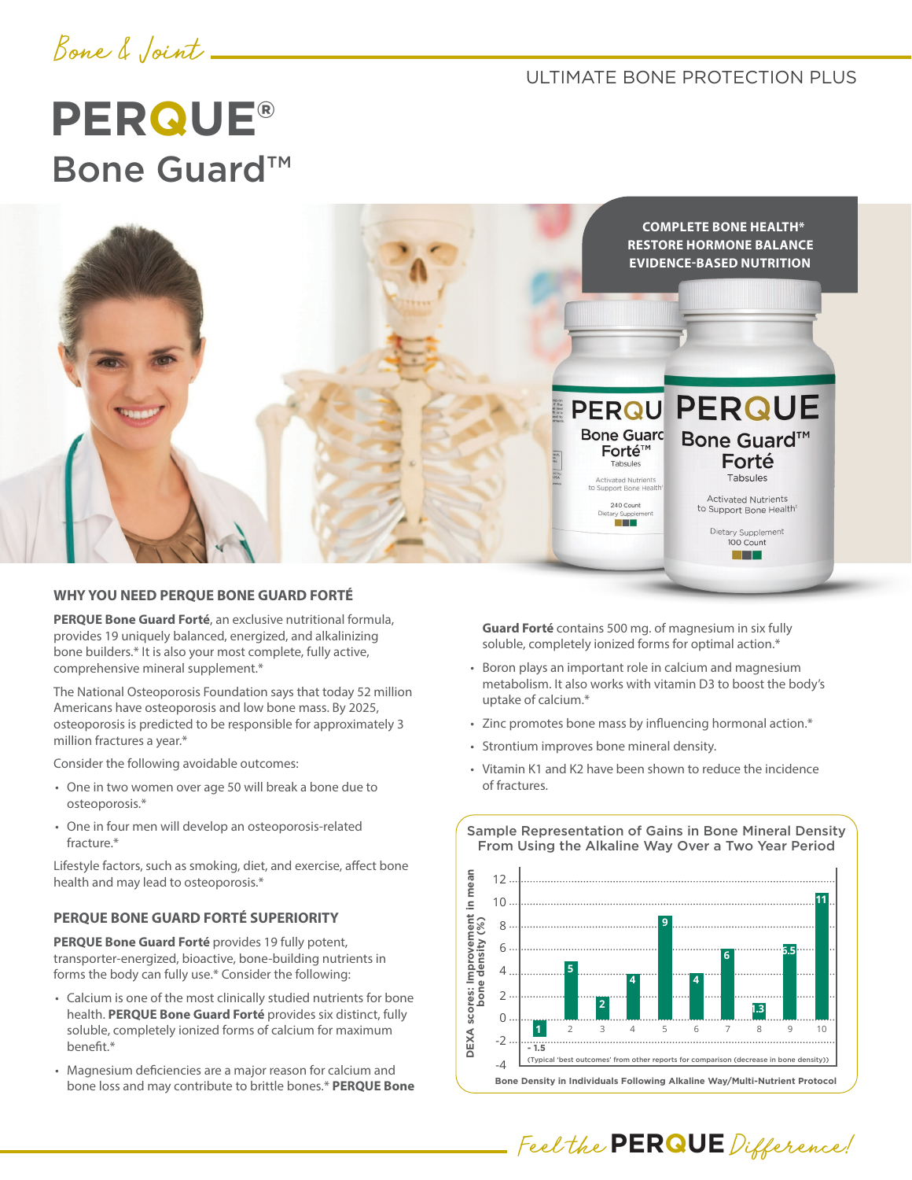

ULTIMATE BONE PROTECTION PLUS

# **PERQUE®** Bone Guard™



#### **WHY YOU NEED PERQUE BONE GUARD FORTÉ**

**PERQUE Bone Guard Forté**, an exclusive nutritional formula, provides 19 uniquely balanced, energized, and alkalinizing bone builders.\* It is also your most complete, fully active, comprehensive mineral supplement.\*

The National Osteoporosis Foundation says that today 52 million Americans have osteoporosis and low bone mass. By 2025, osteoporosis is predicted to be responsible for approximately 3 million fractures a year.\*

Consider the following avoidable outcomes:

- One in two women over age 50 will break a bone due to osteoporosis.\*
- One in four men will develop an osteoporosis-related fracture.\*

Lifestyle factors, such as smoking, diet, and exercise, affect bone health and may lead to osteoporosis.\*

#### **PERQUE BONE GUARD FORTÉ SUPERIORITY**

**PERQUE Bone Guard Forté** provides 19 fully potent, transporter-energized, bioactive, bone-building nutrients in forms the body can fully use.\* Consider the following:

- Calcium is one of the most clinically studied nutrients for bone health. **PERQUE Bone Guard Forté** provides six distinct, fully soluble, completely ionized forms of calcium for maximum benefit.\*
- Magnesium deficiencies are a major reason for calcium and bone loss and may contribute to brittle bones.\* **PERQUE Bone**

**Guard Forté** contains 500 mg. of magnesium in six fully soluble, completely ionized forms for optimal action.\*

- Boron plays an important role in calcium and magnesium metabolism. It also works with vitamin D3 to boost the body's uptake of calcium.\*
- Zinc promotes bone mass by influencing hormonal action.\*
- Strontium improves bone mineral density.
- Vitamin K1 and K2 have been shown to reduce the incidence of fractures.



Feel the **PERQUE** Difference!

#### Sample Representation of Gains in Bone Mineral Density From Using the Alkaline Way Over a Two Year Period